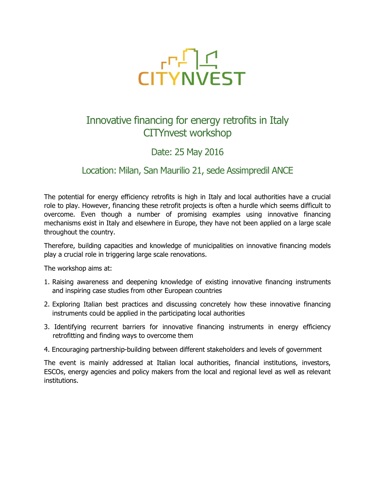

## Innovative financing for energy retrofits in Italy CITYnvest workshop

### Date: 25 May 2016

### Location: Milan, San Maurilio 21, sede Assimpredil ANCE

The potential for energy efficiency retrofits is high in Italy and local authorities have a crucial role to play. However, financing these retrofit projects is often a hurdle which seems difficult to overcome. Even though a number of promising examples using innovative financing mechanisms exist in Italy and elsewhere in Europe, they have not been applied on a large scale throughout the country.

Therefore, building capacities and knowledge of municipalities on innovative financing models play a crucial role in triggering large scale renovations.

The workshop aims at:

- 1. Raising awareness and deepening knowledge of existing innovative financing instruments and inspiring case studies from other European countries
- 2. Exploring Italian best practices and discussing concretely how these innovative financing instruments could be applied in the participating local authorities
- 3. Identifying recurrent barriers for innovative financing instruments in energy efficiency retrofitting and finding ways to overcome them
- 4. Encouraging partnership-building between different stakeholders and levels of government

The event is mainly addressed at Italian local authorities, financial institutions, investors, ESCOs, energy agencies and policy makers from the local and regional level as well as relevant institutions.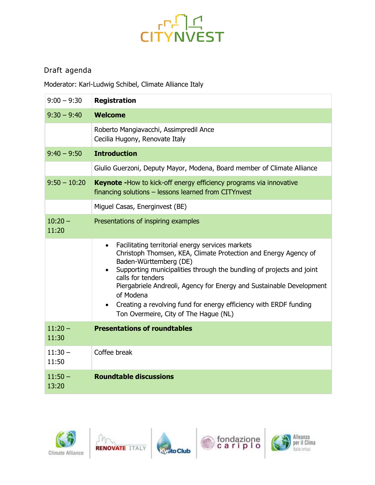# CITYNVEST

### Draft agenda

Moderator: Karl-Ludwig Schibel, Climate Alliance Italy

| $9:00 - 9:30$      | <b>Registration</b>                                                                                                                                                                                                                                                                                                                                                                                                                           |
|--------------------|-----------------------------------------------------------------------------------------------------------------------------------------------------------------------------------------------------------------------------------------------------------------------------------------------------------------------------------------------------------------------------------------------------------------------------------------------|
| $9:30 - 9:40$      | <b>Welcome</b>                                                                                                                                                                                                                                                                                                                                                                                                                                |
|                    | Roberto Mangiavacchi, Assimpredil Ance<br>Cecilia Hugony, Renovate Italy                                                                                                                                                                                                                                                                                                                                                                      |
| $9:40 - 9:50$      | <b>Introduction</b>                                                                                                                                                                                                                                                                                                                                                                                                                           |
|                    | Giulio Guerzoni, Deputy Mayor, Modena, Board member of Climate Alliance                                                                                                                                                                                                                                                                                                                                                                       |
| $9:50 - 10:20$     | <b>Keynote - How to kick-off energy efficiency programs via innovative</b><br>financing solutions - lessons learned from CITYnvest                                                                                                                                                                                                                                                                                                            |
|                    | Miguel Casas, Energinvest (BE)                                                                                                                                                                                                                                                                                                                                                                                                                |
| $10:20 -$<br>11:20 | Presentations of inspiring examples                                                                                                                                                                                                                                                                                                                                                                                                           |
|                    | Facilitating territorial energy services markets<br>Christoph Thomsen, KEA, Climate Protection and Energy Agency of<br>Baden-Württemberg (DE)<br>Supporting municipalities through the bundling of projects and joint<br>calls for tenders<br>Piergabriele Andreoli, Agency for Energy and Sustainable Development<br>of Modena<br>Creating a revolving fund for energy efficiency with ERDF funding<br>Ton Overmeire, City of The Hague (NL) |
| $11:20 -$<br>11:30 | <b>Presentations of roundtables</b>                                                                                                                                                                                                                                                                                                                                                                                                           |
| $11:30 -$<br>11:50 | Coffee break                                                                                                                                                                                                                                                                                                                                                                                                                                  |
| $11:50 -$<br>13:20 | <b>Roundtable discussions</b>                                                                                                                                                                                                                                                                                                                                                                                                                 |









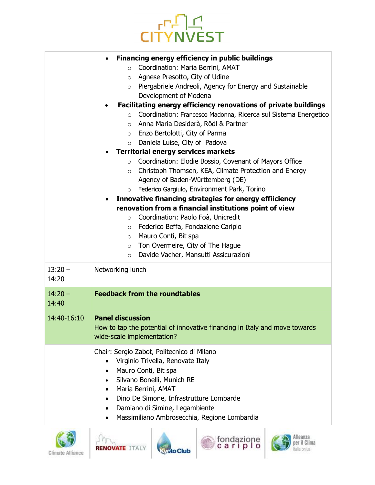

|           | Financing energy efficiency in public buildings<br>$\bullet$               |
|-----------|----------------------------------------------------------------------------|
|           | Coordination: Maria Berrini, AMAT<br>$\circ$                               |
|           | Agnese Presotto, City of Udine<br>$\circ$                                  |
|           | Piergabriele Andreoli, Agency for Energy and Sustainable<br>$\circ$        |
|           | Development of Modena                                                      |
|           | Facilitating energy efficiency renovations of private buildings            |
|           | Coordination: Francesco Madonna, Ricerca sul Sistema Energetico<br>$\circ$ |
|           | Anna Maria Desiderà, Rödl & Partner<br>$\circ$                             |
|           | o Enzo Bertolotti, City of Parma<br>Daniela Luise, City of Padova          |
|           | $\circ$<br><b>Territorial energy services markets</b>                      |
|           | Coordination: Elodie Bossio, Covenant of Mayors Office<br>$\circ$          |
|           | Christoph Thomsen, KEA, Climate Protection and Energy<br>$\circ$           |
|           | Agency of Baden-Württemberg (DE)                                           |
|           | Federico Gargiulo, Environment Park, Torino<br>$\circ$                     |
|           | Innovative financing strategies for energy effiiciency                     |
|           | renovation from a financial institutions point of view                     |
|           | Coordination: Paolo Foà, Unicredit<br>$\circ$                              |
|           | Federico Beffa, Fondazione Cariplo<br>$\circ$                              |
|           | Mauro Conti, Bit spa<br>$\circ$                                            |
|           | Ton Overmeire, City of The Hague<br>$\circ$                                |
|           | Davide Vacher, Mansutti Assicurazioni<br>$\circ$                           |
| $13:20 -$ | Networking lunch                                                           |
| 14:20     |                                                                            |
| $14:20 -$ | <b>Feedback from the roundtables</b>                                       |
| 14:40     |                                                                            |
|           | 14:40-16:10 Panel discussion                                               |
|           | How to tap the potential of innovative financing in Italy and move towards |
|           | wide-scale implementation?                                                 |
|           | Chair: Sergio Zabot, Politecnico di Milano                                 |
|           | Virginio Trivella, Renovate Italy<br>$\bullet$                             |
|           | Mauro Conti, Bit spa<br>$\bullet$                                          |
|           | Silvano Bonelli, Munich RE                                                 |
|           | Maria Berrini, AMAT                                                        |
|           | Dino De Simone, Infrastrutture Lombarde                                    |
|           | Damiano di Simine, Legambiente<br>٠                                        |
|           | Massimiliano Ambrosecchia, Regione Lombardia                               |
|           |                                                                            |